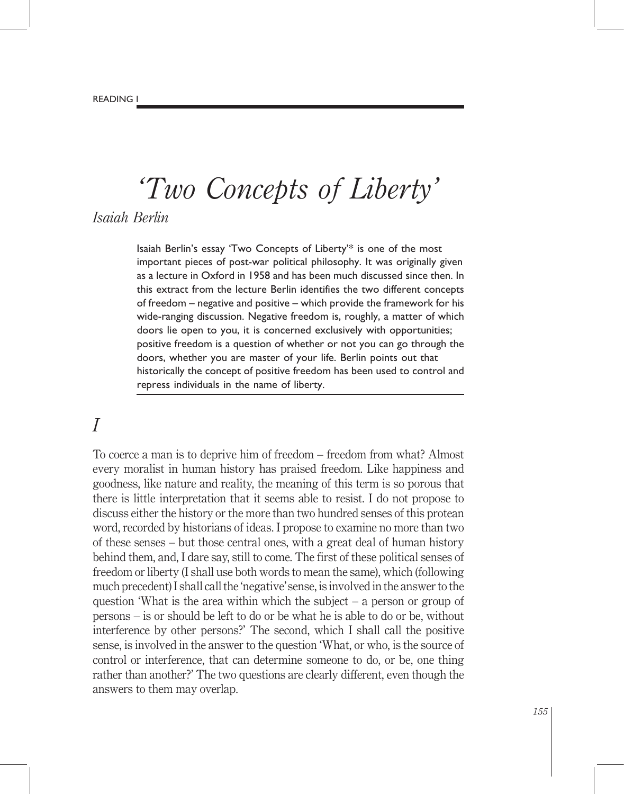# 'Two Concepts of Liberty'

Isaiah Berlin

Isaiah Berlin's essay 'Two Concepts of Liberty'\* is one of the most important pieces of post-war political philosophy. It was originally given as a lecture in Oxford in 1958 and has been much discussed since then. In this extract from the lecture Berlin identifies the two different concepts of freedom – negative and positive – which provide the framework for his wide-ranging discussion. Negative freedom is, roughly, a matter of which doors lie open to you, it is concerned exclusively with opportunities; positive freedom is a question of whether or not you can go through the doors, whether you are master of your life. Berlin points out that historically the concept of positive freedom has been used to control and repress individuals in the name of liberty.

## I

To coerce a man is to deprive him of freedom – freedom from what? Almost every moralist in human history has praised freedom. Like happiness and goodness, like nature and reality, the meaning of this term is so porous that there is little interpretation that it seems able to resist. I do not propose to discuss either the history or the more than two hundred senses of this protean word, recorded by historians of ideas. I propose to examine no more than two of these senses – but those central ones, with a great deal of human history behind them, and, I dare say, still to come. The first of these political senses of freedom or liberty (I shall use both words to mean the same), which (following much precedent) I shall call the 'negative'sense, is involved in the answer to the question 'What is the area within which the subject – a person or group of persons – is or should be left to do or be what he is able to do or be, without interference by other persons?' The second, which I shall call the positive sense, is involved in the answer to the question 'What, or who, is the source of control or interference, that can determine someone to do, or be, one thing rather than another?' The two questions are clearly different, even though the answers to them may overlap.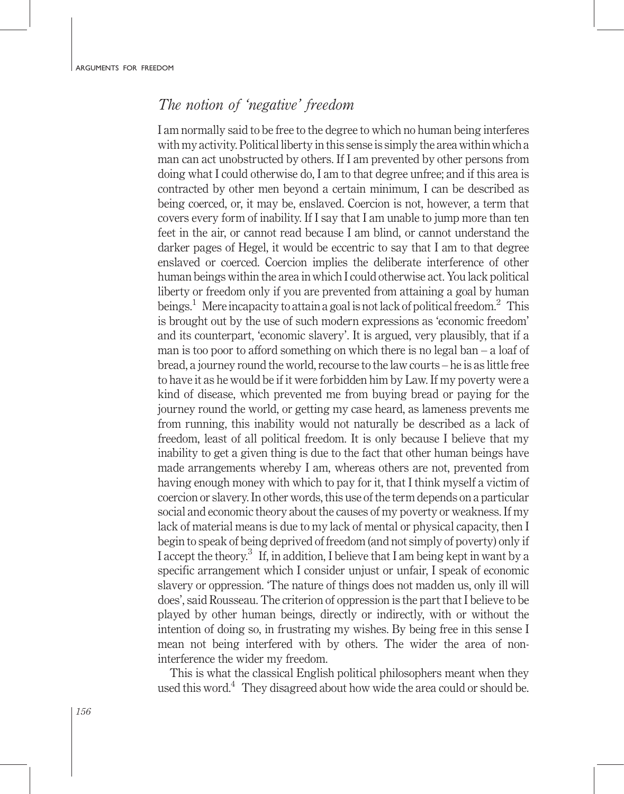### The notion of 'negative' freedom

I am normally said to be free to the degree to which no human being interferes with my activity. Political liberty in this sense is simply the areawithin which a man can act unobstructed by others. If I am prevented by other persons from doing what I could otherwise do,Iam to that degree unfree; and if this area is contracted by other men beyond a certain minimum, I can be described as being coerced, or, it may be, enslaved. Coercion is not, however, a term that covers every form of inability. If I say that I am unable to jump more than ten feet in the air, or cannot read because I am blind, or cannot understand the darker pages of Hegel, it would be eccentric to say that I am to that degree enslaved or coerced. Coercion implies the deliberate interference of other human beings within the area in which I could otherwise act. You lack political liberty or freedom only if you are prevented from attaining a goal by human beings.<sup>1</sup> Mere incapacity to attain a goal is not lack of political freedom.<sup>2</sup> This is brought out by the use of such modern expressions as 'economic freedom' and its counterpart, 'economic slavery'. It is argued, very plausibly, that if a man is too poor to afford something on which there is no legal ban – a loaf of bread, a journey round the world, recourse to the law courts – he is as little free to have it as he would be if it were forbidden him by Law. If my poverty were a kind of disease, which prevented me from buying bread or paying for the journey round the world, or getting my case heard, as lameness prevents me from running, this inability would not naturally be described as a lack of freedom, least of all political freedom. It is only because I believe that my inability to get a given thing is due to the fact that other human beings have made arrangements whereby I am, whereas others are not, prevented from having enough money with which to pay for it, that I think myself a victim of coercion or slavery. In other words, this use of the term depends on a particular social and economic theory about the causes of my poverty or weakness. If my lack of material means is due to my lack of mental or physical capacity, then I begin to speak of being deprived of freedom (and not simply of poverty) only if I accept the theory.<sup>3</sup> If, in addition, I believe that I am being kept in want by a specific arrangement which I consider unjust or unfair, I speak of economic slavery or oppression. 'The nature of things does not madden us, only ill will does', said Rousseau. The criterion of oppression is the part that I believe to be played by other human beings, directly or indirectly, with or without the intention of doing so, in frustrating my wishes. By being free in this sense I mean not being interfered with by others. The wider the area of noninterference the wider my freedom.

This is what the classical English political philosophers meant when they used this word. <sup>4</sup> They disagreed about how wide the area could or should be.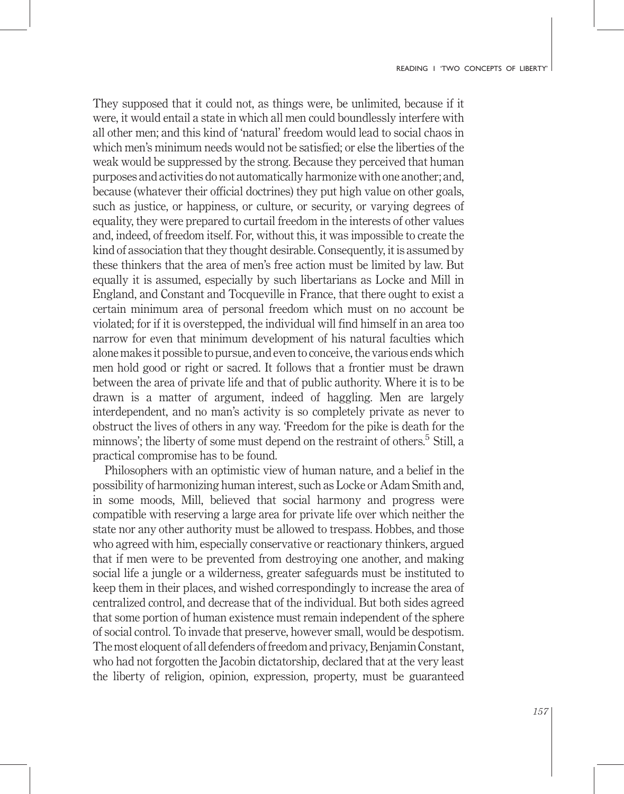They supposed that it could not, as things were, be unlimited, because if it were, it would entail a state in which all men could boundlessly interfere with all other men; and this kind of 'natural' freedom would lead to social chaos in which men's minimum needs would not be satisfied; or else the liberties of the weak would be suppressed by the strong. Because they perceived that human purposes and activities do not automatically harmonize with one another; and, because (whatever their official doctrines) they put high value on other goals, such as justice, or happiness, or culture, or security, or varying degrees of equality, they were prepared to curtail freedom in the interests of other values and, indeed, of freedom itself. For, without this, it was impossible to create the kind of association that they thought desirable. Consequently, it is assumed by these thinkers that the area of men's free action must be limited by law. But equally it is assumed, especially by such libertarians as Locke and Mill in England, and Constant and Tocqueville in France, that there ought to exist a certain minimum area of personal freedom which must on no account be violated; for if it is overstepped, the individual will find himself in an area too narrow for even that minimum development of his natural faculties which alone makes it possible to pursue, and even to conceive, the various ends which men hold good or right or sacred. It follows that a frontier must be drawn between the area of private life and that of public authority. Where it is to be drawn is a matter of argument, indeed of haggling. Men are largely interdependent, and no man's activity is so completely private as never to obstruct the lives of others in any way. 'Freedom for the pike is death for the minnows'; the liberty of some must depend on the restraint of others.<sup>5</sup> Still, a practical compromise has to be found.

Philosophers with an optimistic view of human nature, and a belief in the possibility of harmonizing human interest, such as Locke or Adam Smith and, in some moods, Mill, believed that social harmony and progress were compatible with reserving a large area for private life over which neither the state nor any other authority must be allowed to trespass. Hobbes, and those who agreed with him, especially conservative or reactionary thinkers, argued that if men were to be prevented from destroying one another, and making social life a jungle or a wilderness, greater safeguards must be instituted to keep them in their places, and wished correspondingly to increase the area of centralized control, and decrease that of the individual. But both sides agreed that some portion of human existence must remain independent of the sphere of social control. To invade that preserve, however small, would be despotism. Themost eloquent of all defenders of freedomand privacy, Benjamin Constant, who had not forgotten the Jacobin dictatorship, declared that at the very least the liberty of religion, opinion, expression, property, must be guaranteed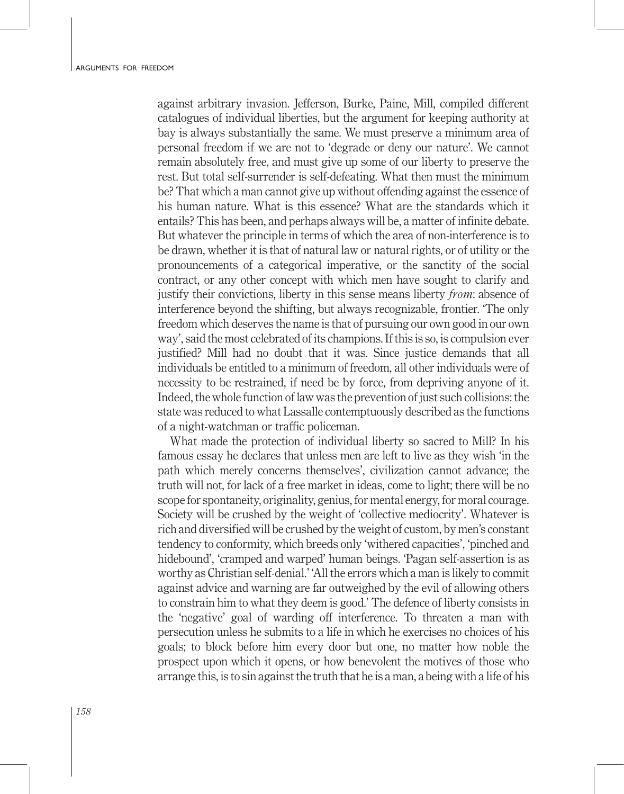against arbitrary invasion. Jefferson, Burke, Paine, Mill, compiled different catalogues of individual liberties, but the argument for keeping authority at bay is always substantially the same. We must preserve a minimum area of personal freedom if we are not to 'degrade or deny our nature'. We cannot remain absolutely free, and must give up some of our liberty to preserve the rest. But total self-surrender is self-defeating. What then must the minimum be? That which a man cannot give up without offending against the essence of his human nature. What is this essence? What are the standards which it entails? This has been, and perhaps always will be, a matter of infinite debate. But whatever the principle in terms of which the area of non-interference is to be drawn, whether it is that of natural law or natural rights, or of utility or the pronouncements of a categorical imperative, or the sanctity of the social contract, or any other concept with which men have sought to clarify and justify their convictions, liberty in this sense means liberty from: absence of interference beyond the shifting, but always recognizable, frontier. 'The only freedom which deserves the name is that of pursuing our own good in our own way', said the most celebrated of its champions. If this is so, is compulsion ever justified? Mill had no doubt that it was. Since justice demands that all individuals be entitled to a minimum of freedom, all other individuals were of necessity to be restrained, if need be by force, from depriving anyone of it. Indeed, the whole function of law was the prevention of just such collisions: the state was reduced to what Lassalle contemptuously described as the functions of a night-watchman or traffic policeman.

What made the protection of individual liberty so sacred to Mill? In his famous essay he declares that unless men are left to live as they wish 'in the path which merely concerns themselves', civilization cannot advance; the truth will not, for lack of a free market in ideas, come to light; there will be no scope for spontaneity, originality, genius, for mental energy, for moral courage. Society will be crushed by the weight of 'collective mediocrity'. Whatever is rich and diversified will be crushed by the weight of custom, by men's constant tendency to conformity, which breeds only 'withered capacities', 'pinched and hidebound', 'cramped and warped' human beings. 'Pagan self-assertion is as worthy as Christian self-denial.' 'All the errors which a man is likely to commit against advice and warning are far outweighed by the evil of allowing others to constrain him to what they deem is good.' The defence of liberty consists in the 'negative' goal of warding off interference. To threaten a man with persecution unless he submits to a life in which he exercises no choices of his goals; to block before him every door but one, no matter how noble the prospect upon which it opens, or how benevolent the motives of those who arrange this, is to sin against the truth that he is a man, a being with a life of his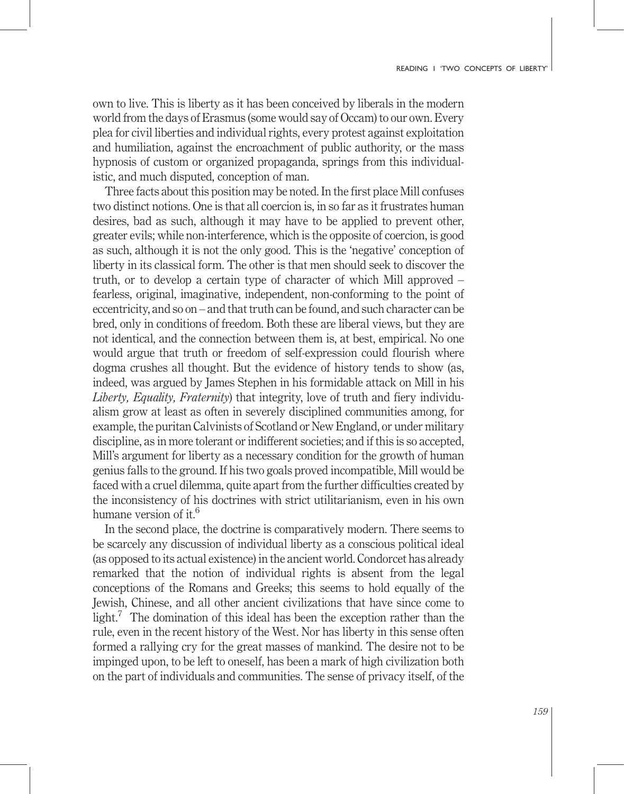own to live. This is liberty as it has been conceived by liberals in the modern world from the days of Erasmus (some would say of Occam) to our own. Every plea for civil liberties and individual rights, every protest against exploitation and humiliation, against the encroachment of public authority, or the mass hypnosis of custom or organized propaganda, springs from this individualistic, and much disputed, conception of man.

Three facts about this position may be noted. In the first place Mill confuses two distinct notions. One is that all coercion is, in so far as it frustrates human desires, bad as such, although it may have to be applied to prevent other, greater evils; while non-interference, which is the opposite of coercion, is good as such, although it is not the only good. This is the 'negative' conception of liberty in its classical form. The other is that men should seek to discover the truth, or to develop a certain type of character of which Mill approved – fearless, original, imaginative, independent, non-conforming to the point of eccentricity, and so on – and that truth can be found, and such character can be bred, only in conditions of freedom. Both these are liberal views, but they are not identical, and the connection between them is, at best, empirical. No one would argue that truth or freedom of self-expression could flourish where dogma crushes all thought. But the evidence of history tends to show (as, indeed, was argued by James Stephen in his formidable attack on Mill in his Liberty, Equality, Fraternity) that integrity, love of truth and fiery individualism grow at least as often in severely disciplined communities among, for example, the puritan Calvinists of Scotland or New England, or under military discipline, as in more tolerant or indifferent societies; and if this is so accepted, Mill's argument for liberty as a necessary condition for the growth of human genius falls to the ground. If his two goals proved incompatible, Mill would be faced with a cruel dilemma, quite apart from the further difficulties created by the inconsistency of his doctrines with strict utilitarianism, even in his own humane version of it. $\frac{6}{5}$ 

In the second place, the doctrine is comparatively modern. There seems to be scarcely any discussion of individual liberty as a conscious political ideal (as opposed to its actual existence) in the ancient world. Condorcet has already remarked that the notion of individual rights is absent from the legal conceptions of the Romans and Greeks; this seems to hold equally of the Jewish, Chinese, and all other ancient civilizations that have since come to light.<sup>7</sup> The domination of this ideal has been the exception rather than the rule, even in the recent history of the West. Nor has liberty in this sense often formed a rallying cry for the great masses of mankind. The desire not to be impinged upon, to be left to oneself, has been a mark of high civilization both on the part of individuals and communities. The sense of privacy itself, of the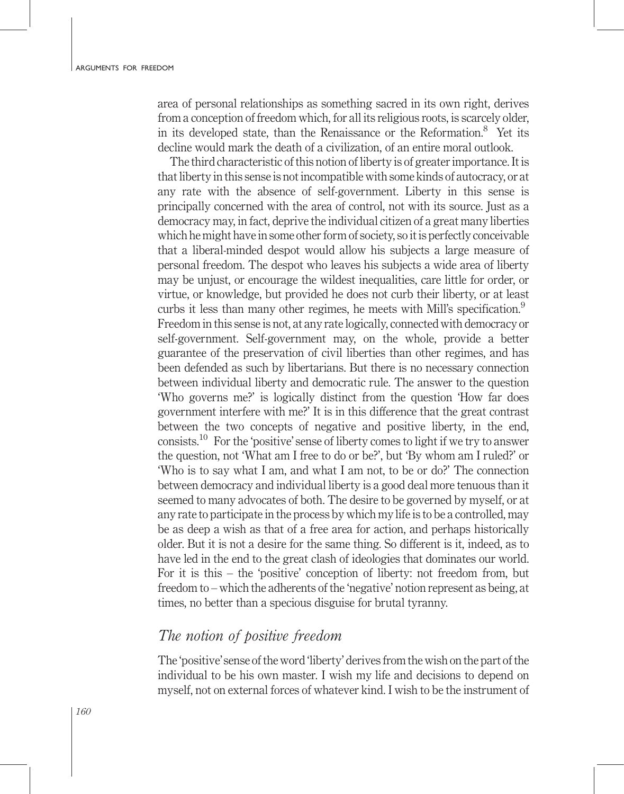area of personal relationships as something sacred in its own right, derives from a conception of freedom which, for all its religious roots, is scarcely older, in its developed state, than the Renaissance or the Reformation.<sup>8</sup> Yet its decline would mark the death of a civilization, of an entire moral outlook.

The third characteristic of this notion of liberty is of greater importance. It is that liberty in this sense is not incompatible with some kinds of autocracy, or at any rate with the absence of self-government. Liberty in this sense is principally concerned with the area of control, not with its source. Just as a democracy may, in fact, deprive the individual citizen of a great many liberties which he might have in some other form of society, so it is perfectly conceivable that a liberal-minded despot would allow his subjects a large measure of personal freedom. The despot who leaves his subjects a wide area of liberty may be unjust, or encourage the wildest inequalities, care little for order, or virtue, or knowledge, but provided he does not curb their liberty, or at least curbs it less than many other regimes, he meets with Mill's specification.<sup>9</sup> Freedom in this sense is not, at any rate logically, connected with democracy or self-government. Self-government may, on the whole, provide a better guarantee of the preservation of civil liberties than other regimes, and has been defended as such by libertarians. But there is no necessary connection between individual liberty and democratic rule. The answer to the question 'Who governs me?' is logically distinct from the question 'How far does government interfere with me?' It is in this difference that the great contrast between the two concepts of negative and positive liberty, in the end, consists.<sup>10</sup> For the 'positive' sense of liberty comes to light if we try to answer the question, not 'What am I free to do or be?', but 'By whom am I ruled?' or 'Who is to say what I am, and what I am not, to be or do?' The connection between democracy and individual liberty is a good deal more tenuous than it seemed to many advocates of both. The desire to be governed by myself, or at any rate to participate in the process by which mylife is to be a controlled, may be as deep a wish as that of a free area for action, and perhaps historically older. But it is not a desire for the same thing. So different is it, indeed, as to have led in the end to the great clash of ideologies that dominates our world. For it is this – the 'positive' conception of liberty: not freedom from, but freedom to – which the adherents of the 'negative' notion represent as being, at times, no better than a specious disguise for brutal tyranny.

#### The notion of positive freedom

The 'positive' sense of the word 'liberty' derives from the wish on the part of the individual to be his own master. I wish my life and decisions to depend on myself, not on external forces of whatever kind. I wish to be the instrument of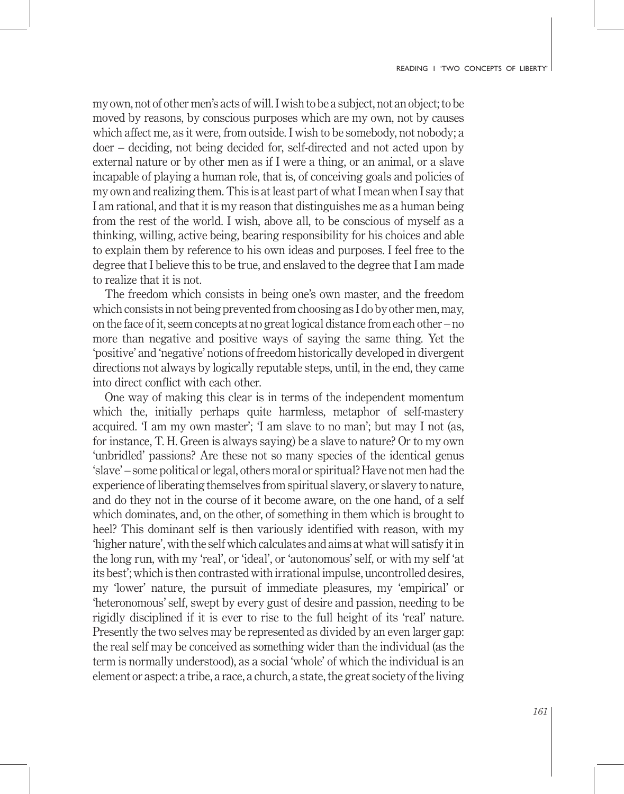myown, not of other men's acts of will.I wish to be a subject, not an object; to be moved by reasons, by conscious purposes which are my own, not by causes which affect me, as it were, from outside. I wish to be somebody, not nobody; a doer – deciding, not being decided for, self-directed and not acted upon by external nature or by other men as if I were a thing, or an animal, or a slave incapable of playing a human role, that is, of conceiving goals and policies of my own and realizing them.This is at least part of what I mean when I say that I am rational, and that it is my reason that distinguishes me as a human being from the rest of the world. I wish, above all, to be conscious of myself as a thinking, willing, active being, bearing responsibility for his choices and able to explain them by reference to his own ideas and purposes. I feel free to the degree that I believe this to be true, and enslaved to the degree that I am made to realize that it is not.

The freedom which consists in being one's own master, and the freedom which consists in not being prevented from choosing as I do by other men, may, on the face of it, seem concepts at no great logical distance fromeach other – no more than negative and positive ways of saying the same thing. Yet the 'positive' and 'negative' notions of freedom historically developed in divergent directions not always by logically reputable steps, until, in the end, they came into direct conflict with each other.

One way of making this clear is in terms of the independent momentum which the, initially perhaps quite harmless, metaphor of self-mastery acquired. 'I am my own master'; 'I am slave to no man'; but may I not (as, for instance, T. H. Green is always saying) be a slave to nature? Or to my own 'unbridled' passions? Are these not so many species of the identical genus 'slave' – some political or legal, others moral or spiritual?Have not men had the experience of liberating themselves from spiritual slavery, or slavery to nature, and do they not in the course of it become aware, on the one hand, of a self which dominates, and, on the other, of something in them which is brought to heel? This dominant self is then variously identified with reason, with my 'higher nature', with the self which calculates and aims at what will satisfy itin the long run, with my 'real', or 'ideal', or 'autonomous' self, or with my self 'at its best'; which is then contrasted with irrational impulse, uncontrolled desires, my 'lower' nature, the pursuit of immediate pleasures, my 'empirical' or 'heteronomous' self, swept by every gust of desire and passion, needing to be rigidly disciplined if it is ever to rise to the full height of its 'real' nature. Presently the two selves may be represented as divided by an even larger gap: the real self may be conceived as something wider than the individual (as the term is normally understood), as a social 'whole' of which the individual is an element or aspect: a tribe, a race, a church, a state, the great societyof the living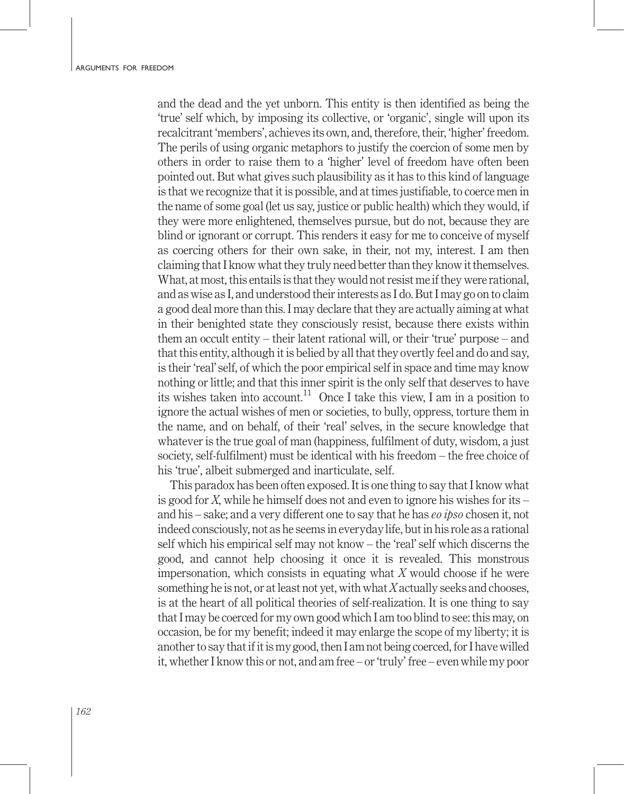and the dead and the yet unborn. This entity is then identified as being the 'true' self which, by imposing its collective, or 'organic', single will upon its recalcitrant 'members', achieves its own, and, therefore, their, 'higher' freedom. The perils of using organic metaphors to justify the coercion of some men by others in order to raise them to a 'higher' level of freedom have often been pointed out. But what gives such plausibility as it has to this kind of language is that we recognize that it is possible, and at times justifiable, to coerce men in the name of some goal (let us say, justice or public health) which they would, if they were more enlightened, themselves pursue, but do not, because they are blind or ignorant or corrupt. This renders it easy for me to conceive of myself as coercing others for their own sake, in their, not my, interest. I am then claiming thatI know what they truly need better than they know it themselves. What, at most, this entails is that they would not resist me if they were rational, and as wise as I, and understood their interests as I do. But I may go on to claim a good deal more than this. I may declare that they are actually aiming at what in their benighted state they consciously resist, because there exists within them an occult entity – their latent rational will, or their 'true' purpose – and that this entity, although it is belied by all that they overtly feel and do and say, is their 'real' self, of which the poor empirical self in space and time may know nothing or little; and that this inner spirit is the only self that deserves to have its wishes taken into account.<sup>11</sup> Once I take this view, I am in a position to ignore the actual wishes of men or societies, to bully, oppress, torture them in the name, and on behalf, of their 'real' selves, in the secure knowledge that whatever is the true goal of man (happiness, fulfilment of duty, wisdom, a just society, self-fulfilment) must be identical with his freedom – the free choice of his 'true', albeit submerged and inarticulate, self.

This paradox has been often exposed. It is one thing to say that I know what is good for X, while he himself does not and even to ignore his wishes for its – and his – sake; and a very different one to say that he has eo ipso chosen it, not indeed consciously, not as he seems in everydaylife, but in his role as a rational self which his empirical self may not know – the 'real' self which discerns the good, and cannot help choosing it once it is revealed. This monstrous impersonation, which consists in equating what  $X$  would choose if he were something he is not, or at least not yet, with what  $X$  actually seeks and chooses, is at the heart of all political theories of self-realization. It is one thing to say that I may be coerced for my own good which I am too blind to see: this may, on occasion, be for my benefit; indeed it may enlarge the scope of my liberty; it is another to say that if it is my good, then I am not being coerced, for I have willed it, whether I know this or not, and am free – or 'truly' free – even while my poor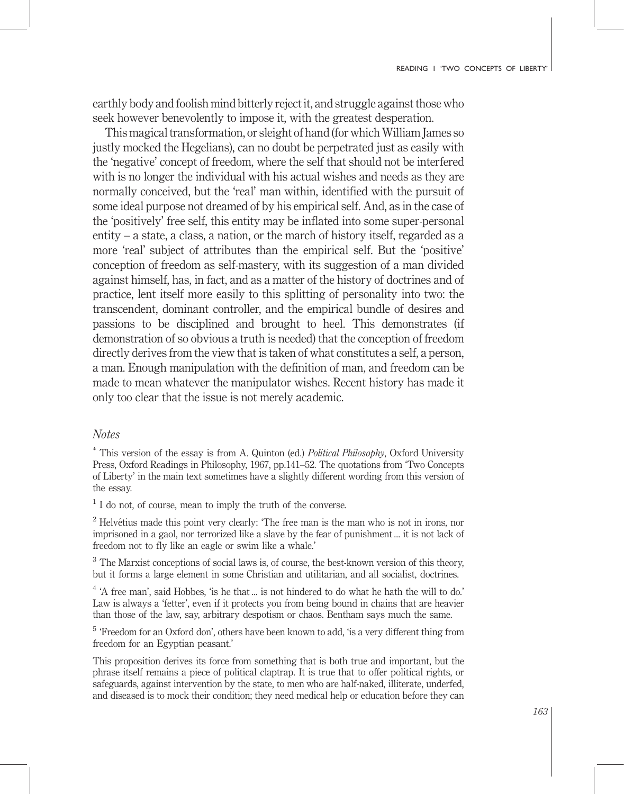earthly body and foolish mind bitterly reject it, and struggle against those who seek however benevolently to impose it, with the greatest desperation.

This magical transformation, or sleight of hand (for which William James so justly mocked the Hegelians), can no doubt be perpetrated just as easily with the 'negative' concept of freedom, where the self that should not be interfered with is no longer the individual with his actual wishes and needs as they are normally conceived, but the 'real' man within, identified with the pursuit of some ideal purpose not dreamed of by his empirical self. And, as in the case of the 'positively' free self, this entity may be inflated into some super-personal entity – a state, a class, a nation, or the march of history itself, regarded as a more 'real' subject of attributes than the empirical self. But the 'positive' conception of freedom as self-mastery, with its suggestion of a man divided against himself, has, in fact, and as a matter of the history of doctrines and of practice, lent itself more easily to this splitting of personality into two: the transcendent, dominant controller, and the empirical bundle of desires and passions to be disciplined and brought to heel. This demonstrates (if demonstration of so obvious a truth is needed) that the conception of freedom directly derives from the view that is taken of what constitutes a self, a person, a man. Enough manipulation with the definition of man, and freedom can be made to mean whatever the manipulator wishes. Recent history has made it only too clear that the issue is not merely academic.

#### **Notes**

\* This version of the essay is from A. Quinton (ed.) Political Philosophy, Oxford University Press, Oxford Readings in Philosophy, 1967, pp.141–52. The quotations from 'Two Concepts of Liberty' in the main text sometimes have a slightly different wording from this version of the essay.

<sup>1</sup> I do not, of course, mean to imply the truth of the converse.

 $2$  Helvétius made this point very clearly: 'The free man is the man who is not in irons, nor imprisoned in a gaol, nor terrorized like a slave by the fear of punishment ... it is not lack of freedom not to fly like an eagle or swim like a whale.'

<sup>3</sup> The Marxist conceptions of social laws is, of course, the best-known version of this theory, but it forms a large element in some Christian and utilitarian, and all socialist, doctrines.

<sup>4</sup> 'A free man', said Hobbes, 'is he that ... is not hindered to do what he hath the will to do.' Law is always a 'fetter', even if it protects you from being bound in chains that are heavier than those of the law, say, arbitrary despotism or chaos. Bentham says much the same.

<sup>5</sup> 'Freedom for an Oxford don', others have been known to add, 'is a very different thing from freedom for an Egyptian peasant.'

This proposition derives its force from something that is both true and important, but the phrase itself remains a piece of political claptrap. It is true that to offer political rights, or safeguards, against intervention by the state, to men who are half-naked, illiterate, underfed, and diseased is to mock their condition; they need medical help or education before they can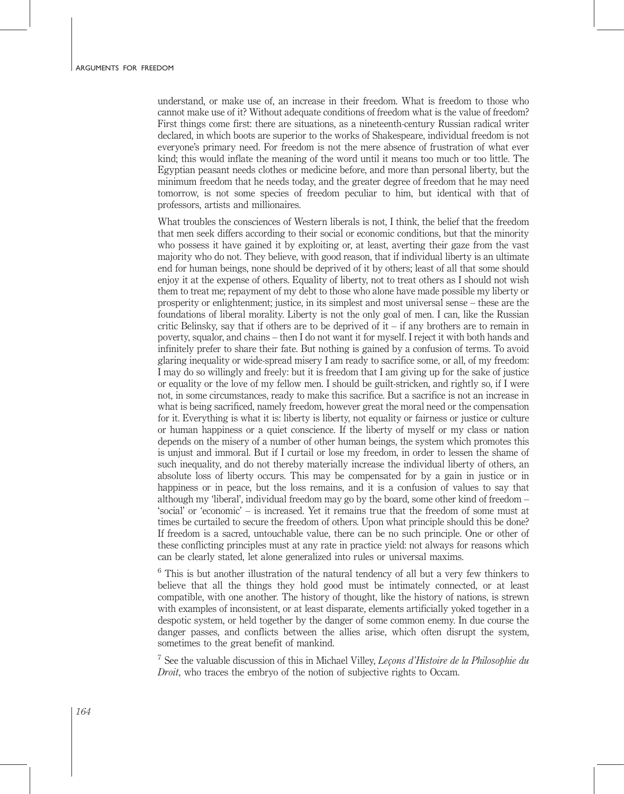understand, or make use of, an increase in their freedom. What is freedom to those who cannot make use of it? Without adequate conditions of freedom what is the value of freedom? First things come first: there are situations, as a nineteenth-century Russian radical writer declared, in which boots are superior to the works of Shakespeare, individual freedom is not everyone's primary need. For freedom is not the mere absence of frustration of what ever kind; this would inflate the meaning of the word until it means too much or too little. The Egyptian peasant needs clothes or medicine before, and more than personal liberty, but the minimum freedom that he needs today, and the greater degree of freedom that he may need tomorrow, is not some species of freedom peculiar to him, but identical with that of professors, artists and millionaires.

What troubles the consciences of Western liberals is not, I think, the belief that the freedom that men seek differs according to their social or economic conditions, but that the minority who possess it have gained it by exploiting or, at least, averting their gaze from the vast majority who do not. They believe, with good reason, that if individual liberty is an ultimate end for human beings, none should be deprived of it by others; least of all that some should enjoy it at the expense of others. Equality of liberty, not to treat others as I should not wish them to treat me; repayment of my debt to those who alone have made possible my liberty or prosperity or enlightenment; justice, in its simplest and most universal sense – these are the foundations of liberal morality. Liberty is not the only goal of men. I can, like the Russian critic Belinsky, say that if others are to be deprived of it  $-$  if any brothers are to remain in poverty, squalor, and chains – then I do not want it for myself. I reject it with both hands and infinitely prefer to share their fate. But nothing is gained by a confusion of terms. To avoid glaring inequality or wide-spread misery I am ready to sacrifice some, or all, of my freedom: I may do so willingly and freely: but it is freedom that I am giving up for the sake of justice or equality or the love of my fellow men. I should be guilt-stricken, and rightly so, if I were not, in some circumstances, ready to make this sacrifice. But a sacrifice is not an increase in what is being sacrificed, namely freedom, however great the moral need or the compensation for it. Everything is what it is: liberty is liberty, not equality or fairness or justice or culture or human happiness or a quiet conscience. If the liberty of myself or my class or nation depends on the misery of a number of other human beings, the system which promotes this is unjust and immoral. But if I curtail or lose my freedom, in order to lessen the shame of such inequality, and do not thereby materially increase the individual liberty of others, an absolute loss of liberty occurs. This may be compensated for by a gain in justice or in happiness or in peace, but the loss remains, and it is a confusion of values to say that although my 'liberal', individual freedom may go by the board, some other kind of freedom – 'social' or 'economic' – is increased. Yet it remains true that the freedom of some must at times be curtailed to secure the freedom of others. Upon what principle should this be done? If freedom is a sacred, untouchable value, there can be no such principle. One or other of these conflicting principles must at any rate in practice yield: not always for reasons which can be clearly stated, let alone generalized into rules or universal maxims.

<sup>6</sup> This is but another illustration of the natural tendency of all but a very few thinkers to believe that all the things they hold good must be intimately connected, or at least compatible, with one another. The history of thought, like the history of nations, is strewn with examples of inconsistent, or at least disparate, elements artificially yoked together in a despotic system, or held together by the danger of some common enemy. In due course the danger passes, and conflicts between the allies arise, which often disrupt the system, sometimes to the great benefit of mankind.

<sup>7</sup> See the valuable discussion of this in Michael Villey, *Leçons d'Histoire de la Philosophie du* Droit, who traces the embryo of the notion of subjective rights to Occam.